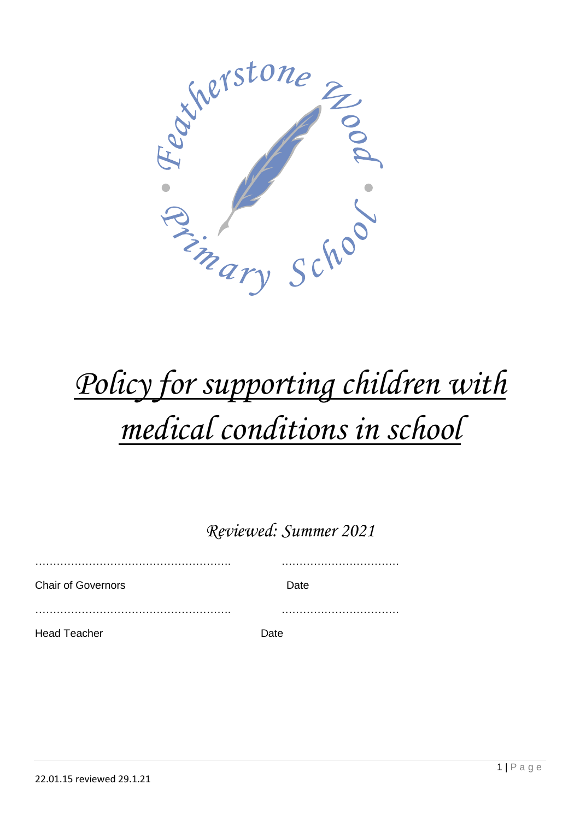

# *Policy for supporting children with medical conditions in school*

*Reviewed: Summer 2021*

………………………………………………. …………………………… Chair of Governors **Date** ………………………………………………. …………………………… Head Teacher **Date**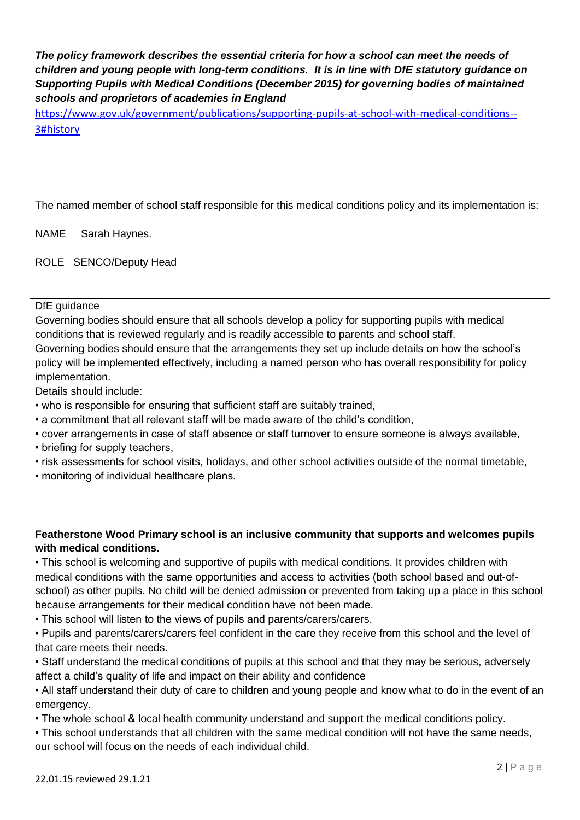*The policy framework describes the essential criteria for how a school can meet the needs of children and young people with long-term conditions. It is in line with DfE statutory guidance on Supporting Pupils with Medical Conditions (December 2015) for governing bodies of maintained schools and proprietors of academies in England*

[https://www.gov.uk/government/publications/supporting-pupils-at-school-with-medical-conditions--](https://www.gov.uk/government/publications/supporting-pupils-at-school-with-medical-conditions--3#history) [3#history](https://www.gov.uk/government/publications/supporting-pupils-at-school-with-medical-conditions--3#history)

The named member of school staff responsible for this medical conditions policy and its implementation is:

NAME Sarah Haynes.

ROLE SENCO/Deputy Head

DfE quidance

Governing bodies should ensure that all schools develop a policy for supporting pupils with medical conditions that is reviewed regularly and is readily accessible to parents and school staff. Governing bodies should ensure that the arrangements they set up include details on how the school's policy will be implemented effectively, including a named person who has overall responsibility for policy implementation.

Details should include:

- who is responsible for ensuring that sufficient staff are suitably trained,
- a commitment that all relevant staff will be made aware of the child's condition,
- cover arrangements in case of staff absence or staff turnover to ensure someone is always available,
- briefing for supply teachers.
- risk assessments for school visits, holidays, and other school activities outside of the normal timetable,
- monitoring of individual healthcare plans.

#### **Featherstone Wood Primary school is an inclusive community that supports and welcomes pupils with medical conditions.**

• This school is welcoming and supportive of pupils with medical conditions. It provides children with medical conditions with the same opportunities and access to activities (both school based and out-ofschool) as other pupils. No child will be denied admission or prevented from taking up a place in this school because arrangements for their medical condition have not been made.

• This school will listen to the views of pupils and parents/carers/carers.

• Pupils and parents/carers/carers feel confident in the care they receive from this school and the level of that care meets their needs.

• Staff understand the medical conditions of pupils at this school and that they may be serious, adversely affect a child's quality of life and impact on their ability and confidence

• All staff understand their duty of care to children and young people and know what to do in the event of an emergency.

• The whole school & local health community understand and support the medical conditions policy.

• This school understands that all children with the same medical condition will not have the same needs, our school will focus on the needs of each individual child.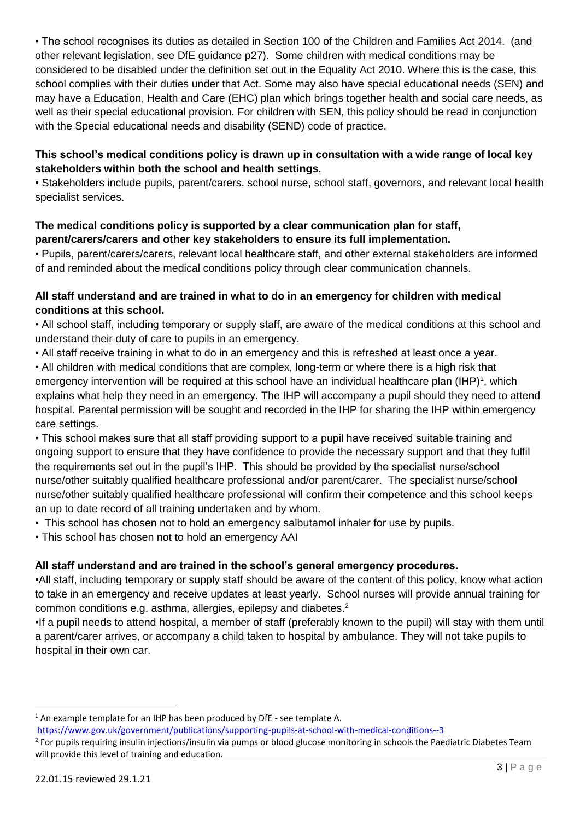• The school recognises its duties as detailed in Section 100 of the Children and Families Act 2014. (and other relevant legislation, see DfE guidance p27). Some children with medical conditions may be considered to be disabled under the definition set out in the Equality Act 2010. Where this is the case, this school complies with their duties under that Act. Some may also have special educational needs (SEN) and may have a Education, Health and Care (EHC) plan which brings together health and social care needs, as well as their special educational provision. For children with SEN, this policy should be read in conjunction with the Special educational needs and disability (SEND) code of practice.

#### **This school's medical conditions policy is drawn up in consultation with a wide range of local key stakeholders within both the school and health settings.**

• Stakeholders include pupils, parent/carers, school nurse, school staff, governors, and relevant local health specialist services.

#### **The medical conditions policy is supported by a clear communication plan for staff, parent/carers/carers and other key stakeholders to ensure its full implementation.**

• Pupils, parent/carers/carers, relevant local healthcare staff, and other external stakeholders are informed of and reminded about the medical conditions policy through clear communication channels.

#### **All staff understand and are trained in what to do in an emergency for children with medical conditions at this school.**

• All school staff, including temporary or supply staff, are aware of the medical conditions at this school and understand their duty of care to pupils in an emergency.

- All staff receive training in what to do in an emergency and this is refreshed at least once a year.
- All children with medical conditions that are complex, long-term or where there is a high risk that emergency intervention will be required at this school have an individual healthcare plan  $(HP)^1$ , which explains what help they need in an emergency. The IHP will accompany a pupil should they need to attend hospital. Parental permission will be sought and recorded in the IHP for sharing the IHP within emergency care settings.

• This school makes sure that all staff providing support to a pupil have received suitable training and ongoing support to ensure that they have confidence to provide the necessary support and that they fulfil the requirements set out in the pupil's IHP. This should be provided by the specialist nurse/school nurse/other suitably qualified healthcare professional and/or parent/carer. The specialist nurse/school nurse/other suitably qualified healthcare professional will confirm their competence and this school keeps an up to date record of all training undertaken and by whom.

- This school has chosen not to hold an emergency salbutamol inhaler for use by pupils.
- This school has chosen not to hold an emergency AAI

## **All staff understand and are trained in the school's general emergency procedures.**

•All staff, including temporary or supply staff should be aware of the content of this policy, know what action to take in an emergency and receive updates at least yearly. School nurses will provide annual training for common conditions e.g. asthma, allergies, epilepsy and diabetes.<sup>2</sup>

•If a pupil needs to attend hospital, a member of staff (preferably known to the pupil) will stay with them until a parent/carer arrives, or accompany a child taken to hospital by ambulance. They will not take pupils to hospital in their own car.

**.** 

<sup>&</sup>lt;sup>1</sup> An example template for an IHP has been produced by DfE - see template A.

<https://www.gov.uk/government/publications/supporting-pupils-at-school-with-medical-conditions--3>

<sup>&</sup>lt;sup>2</sup> For pupils requiring insulin injections/insulin via pumps or blood glucose monitoring in schools the Paediatric Diabetes Team will provide this level of training and education.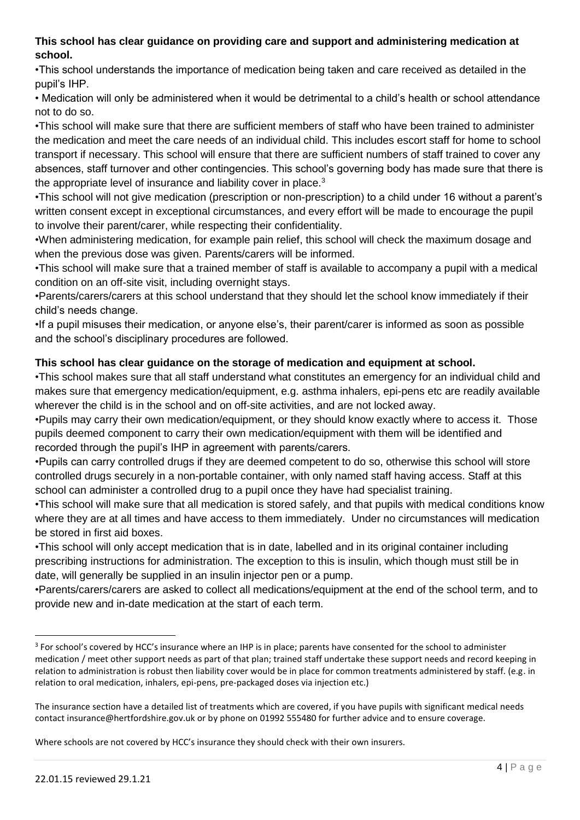#### **This school has clear guidance on providing care and support and administering medication at school.**

•This school understands the importance of medication being taken and care received as detailed in the pupil's IHP.

• Medication will only be administered when it would be detrimental to a child's health or school attendance not to do so.

•This school will make sure that there are sufficient members of staff who have been trained to administer the medication and meet the care needs of an individual child. This includes escort staff for home to school transport if necessary. This school will ensure that there are sufficient numbers of staff trained to cover any absences, staff turnover and other contingencies. This school's governing body has made sure that there is the appropriate level of insurance and liability cover in place.<sup>3</sup>

•This school will not give medication (prescription or non-prescription) to a child under 16 without a parent's written consent except in exceptional circumstances, and every effort will be made to encourage the pupil to involve their parent/carer, while respecting their confidentiality.

•When administering medication, for example pain relief, this school will check the maximum dosage and when the previous dose was given. Parents/carers will be informed.

•This school will make sure that a trained member of staff is available to accompany a pupil with a medical condition on an off-site visit, including overnight stays.

•Parents/carers/carers at this school understand that they should let the school know immediately if their child's needs change.

•If a pupil misuses their medication, or anyone else's, their parent/carer is informed as soon as possible and the school's disciplinary procedures are followed.

#### **This school has clear guidance on the storage of medication and equipment at school.**

•This school makes sure that all staff understand what constitutes an emergency for an individual child and makes sure that emergency medication/equipment, e.g. asthma inhalers, epi-pens etc are readily available wherever the child is in the school and on off-site activities, and are not locked away.

•Pupils may carry their own medication/equipment, or they should know exactly where to access it. Those pupils deemed component to carry their own medication/equipment with them will be identified and recorded through the pupil's IHP in agreement with parents/carers.

•Pupils can carry controlled drugs if they are deemed competent to do so, otherwise this school will store controlled drugs securely in a non-portable container, with only named staff having access. Staff at this school can administer a controlled drug to a pupil once they have had specialist training.

•This school will make sure that all medication is stored safely, and that pupils with medical conditions know where they are at all times and have access to them immediately. Under no circumstances will medication be stored in first aid boxes.

•This school will only accept medication that is in date, labelled and in its original container including prescribing instructions for administration. The exception to this is insulin, which though must still be in date, will generally be supplied in an insulin injector pen or a pump.

•Parents/carers/carers are asked to collect all medications/equipment at the end of the school term, and to provide new and in-date medication at the start of each term.

Where schools are not covered by HCC's insurance they should check with their own insurers.

**.** 

<sup>&</sup>lt;sup>3</sup> For school's covered by HCC's insurance where an IHP is in place; parents have consented for the school to administer medication / meet other support needs as part of that plan; trained staff undertake these support needs and record keeping in relation to administration is robust then liability cover would be in place for common treatments administered by staff. (e.g. in relation to oral medication, inhalers, epi-pens, pre-packaged doses via injection etc.)

The insurance section have a detailed list of treatments which are covered, if you have pupils with significant medical needs contact insurance@hertfordshire.gov.uk or by phone on 01992 555480 for further advice and to ensure coverage.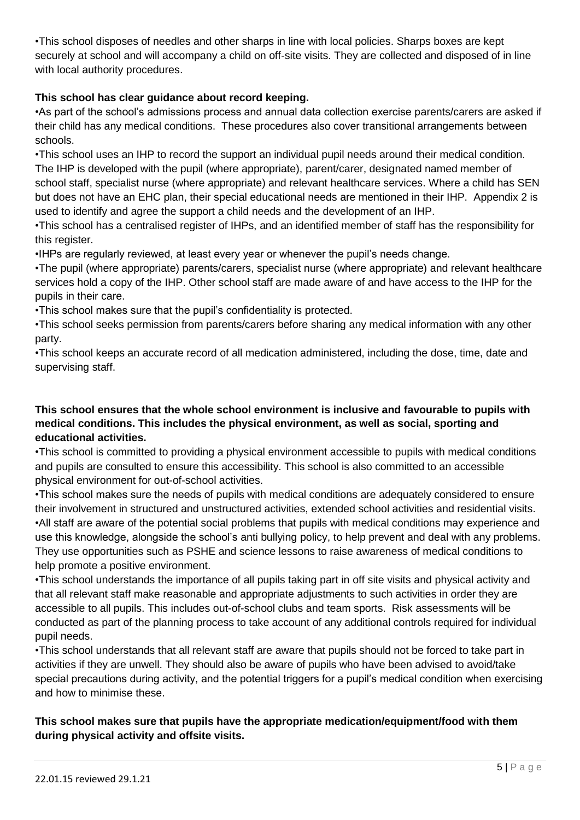•This school disposes of needles and other sharps in line with local policies. Sharps boxes are kept securely at school and will accompany a child on off-site visits. They are collected and disposed of in line with local authority procedures.

#### **This school has clear guidance about record keeping.**

•As part of the school's admissions process and annual data collection exercise parents/carers are asked if their child has any medical conditions. These procedures also cover transitional arrangements between schools.

•This school uses an IHP to record the support an individual pupil needs around their medical condition. The IHP is developed with the pupil (where appropriate), parent/carer, designated named member of school staff, specialist nurse (where appropriate) and relevant healthcare services. Where a child has SEN but does not have an EHC plan, their special educational needs are mentioned in their IHP. Appendix 2 is used to identify and agree the support a child needs and the development of an IHP.

•This school has a centralised register of IHPs, and an identified member of staff has the responsibility for this register.

•IHPs are regularly reviewed, at least every year or whenever the pupil's needs change.

•The pupil (where appropriate) parents/carers, specialist nurse (where appropriate) and relevant healthcare services hold a copy of the IHP. Other school staff are made aware of and have access to the IHP for the pupils in their care.

•This school makes sure that the pupil's confidentiality is protected.

•This school seeks permission from parents/carers before sharing any medical information with any other party.

•This school keeps an accurate record of all medication administered, including the dose, time, date and supervising staff.

#### **This school ensures that the whole school environment is inclusive and favourable to pupils with medical conditions. This includes the physical environment, as well as social, sporting and educational activities.**

•This school is committed to providing a physical environment accessible to pupils with medical conditions and pupils are consulted to ensure this accessibility. This school is also committed to an accessible physical environment for out-of-school activities.

•This school makes sure the needs of pupils with medical conditions are adequately considered to ensure their involvement in structured and unstructured activities, extended school activities and residential visits. •All staff are aware of the potential social problems that pupils with medical conditions may experience and use this knowledge, alongside the school's anti bullying policy, to help prevent and deal with any problems. They use opportunities such as PSHE and science lessons to raise awareness of medical conditions to help promote a positive environment.

•This school understands the importance of all pupils taking part in off site visits and physical activity and that all relevant staff make reasonable and appropriate adjustments to such activities in order they are accessible to all pupils. This includes out-of-school clubs and team sports. Risk assessments will be conducted as part of the planning process to take account of any additional controls required for individual pupil needs.

•This school understands that all relevant staff are aware that pupils should not be forced to take part in activities if they are unwell. They should also be aware of pupils who have been advised to avoid/take special precautions during activity, and the potential triggers for a pupil's medical condition when exercising and how to minimise these.

#### **This school makes sure that pupils have the appropriate medication/equipment/food with them during physical activity and offsite visits.**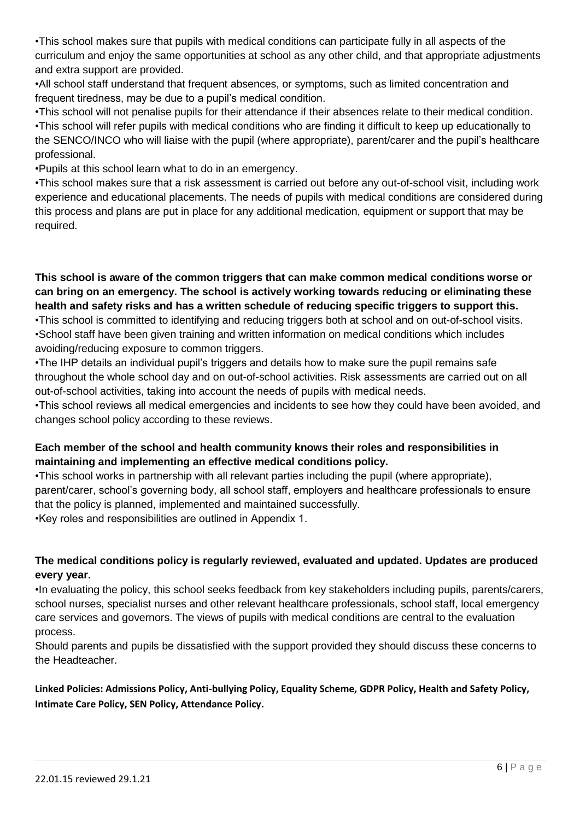•This school makes sure that pupils with medical conditions can participate fully in all aspects of the curriculum and enjoy the same opportunities at school as any other child, and that appropriate adjustments and extra support are provided.

•All school staff understand that frequent absences, or symptoms, such as limited concentration and frequent tiredness, may be due to a pupil's medical condition.

•This school will not penalise pupils for their attendance if their absences relate to their medical condition. •This school will refer pupils with medical conditions who are finding it difficult to keep up educationally to the SENCO/INCO who will liaise with the pupil (where appropriate), parent/carer and the pupil's healthcare professional.

•Pupils at this school learn what to do in an emergency.

•This school makes sure that a risk assessment is carried out before any out-of-school visit, including work experience and educational placements. The needs of pupils with medical conditions are considered during this process and plans are put in place for any additional medication, equipment or support that may be required.

**This school is aware of the common triggers that can make common medical conditions worse or can bring on an emergency. The school is actively working towards reducing or eliminating these health and safety risks and has a written schedule of reducing specific triggers to support this.** •This school is committed to identifying and reducing triggers both at school and on out-of-school visits. •School staff have been given training and written information on medical conditions which includes avoiding/reducing exposure to common triggers.

•The IHP details an individual pupil's triggers and details how to make sure the pupil remains safe throughout the whole school day and on out-of-school activities. Risk assessments are carried out on all out-of-school activities, taking into account the needs of pupils with medical needs.

•This school reviews all medical emergencies and incidents to see how they could have been avoided, and changes school policy according to these reviews.

#### **Each member of the school and health community knows their roles and responsibilities in maintaining and implementing an effective medical conditions policy.**

•This school works in partnership with all relevant parties including the pupil (where appropriate), parent/carer, school's governing body, all school staff, employers and healthcare professionals to ensure that the policy is planned, implemented and maintained successfully. •Key roles and responsibilities are outlined in Appendix 1.

#### **The medical conditions policy is regularly reviewed, evaluated and updated. Updates are produced every year.**

•In evaluating the policy, this school seeks feedback from key stakeholders including pupils, parents/carers, school nurses, specialist nurses and other relevant healthcare professionals, school staff, local emergency care services and governors. The views of pupils with medical conditions are central to the evaluation process.

Should parents and pupils be dissatisfied with the support provided they should discuss these concerns to the Headteacher.

**Linked Policies: Admissions Policy, Anti-bullying Policy, Equality Scheme, GDPR Policy, Health and Safety Policy, Intimate Care Policy, SEN Policy, Attendance Policy.**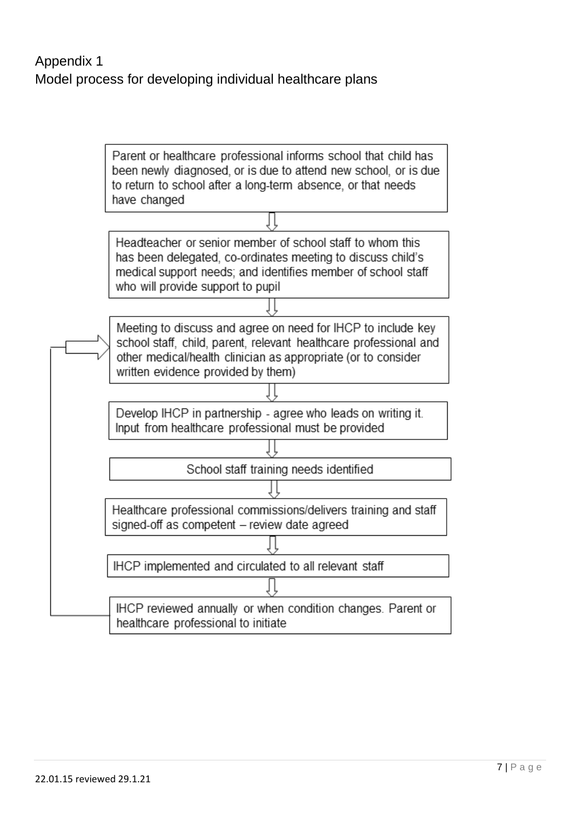Parent or healthcare professional informs school that child has been newly diagnosed, or is due to attend new school, or is due to return to school after a long-term absence, or that needs have changed

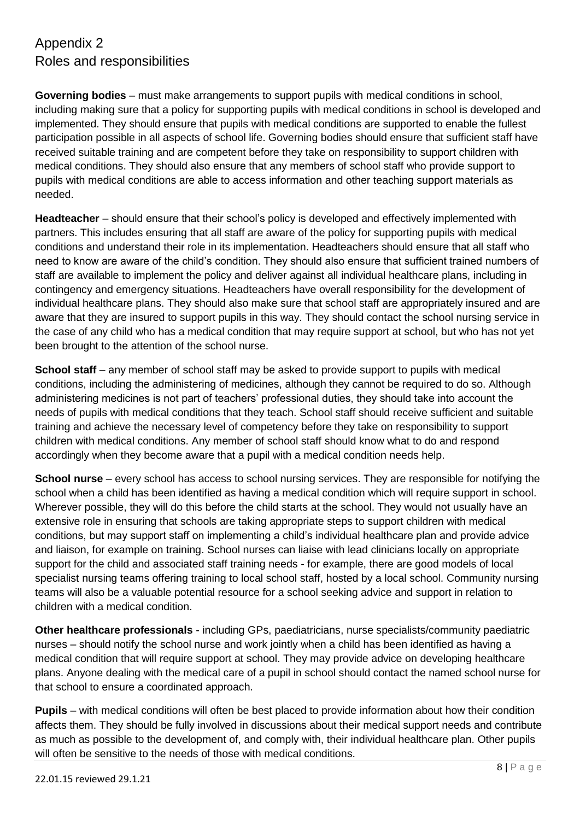## Appendix 2 Roles and responsibilities

**Governing bodies** – must make arrangements to support pupils with medical conditions in school, including making sure that a policy for supporting pupils with medical conditions in school is developed and implemented. They should ensure that pupils with medical conditions are supported to enable the fullest participation possible in all aspects of school life. Governing bodies should ensure that sufficient staff have received suitable training and are competent before they take on responsibility to support children with medical conditions. They should also ensure that any members of school staff who provide support to pupils with medical conditions are able to access information and other teaching support materials as needed.

**Headteacher** – should ensure that their school's policy is developed and effectively implemented with partners. This includes ensuring that all staff are aware of the policy for supporting pupils with medical conditions and understand their role in its implementation. Headteachers should ensure that all staff who need to know are aware of the child's condition. They should also ensure that sufficient trained numbers of staff are available to implement the policy and deliver against all individual healthcare plans, including in contingency and emergency situations. Headteachers have overall responsibility for the development of individual healthcare plans. They should also make sure that school staff are appropriately insured and are aware that they are insured to support pupils in this way. They should contact the school nursing service in the case of any child who has a medical condition that may require support at school, but who has not yet been brought to the attention of the school nurse.

**School staff** – any member of school staff may be asked to provide support to pupils with medical conditions, including the administering of medicines, although they cannot be required to do so. Although administering medicines is not part of teachers' professional duties, they should take into account the needs of pupils with medical conditions that they teach. School staff should receive sufficient and suitable training and achieve the necessary level of competency before they take on responsibility to support children with medical conditions. Any member of school staff should know what to do and respond accordingly when they become aware that a pupil with a medical condition needs help.

**School nurse** – every school has access to school nursing services. They are responsible for notifying the school when a child has been identified as having a medical condition which will require support in school. Wherever possible, they will do this before the child starts at the school. They would not usually have an extensive role in ensuring that schools are taking appropriate steps to support children with medical conditions, but may support staff on implementing a child's individual healthcare plan and provide advice and liaison, for example on training. School nurses can liaise with lead clinicians locally on appropriate support for the child and associated staff training needs - for example, there are good models of local specialist nursing teams offering training to local school staff, hosted by a local school. Community nursing teams will also be a valuable potential resource for a school seeking advice and support in relation to children with a medical condition.

**Other healthcare professionals** - including GPs, paediatricians, nurse specialists/community paediatric nurses – should notify the school nurse and work jointly when a child has been identified as having a medical condition that will require support at school. They may provide advice on developing healthcare plans. Anyone dealing with the medical care of a pupil in school should contact the named school nurse for that school to ensure a coordinated approach.

**Pupils** – with medical conditions will often be best placed to provide information about how their condition affects them. They should be fully involved in discussions about their medical support needs and contribute as much as possible to the development of, and comply with, their individual healthcare plan. Other pupils will often be sensitive to the needs of those with medical conditions.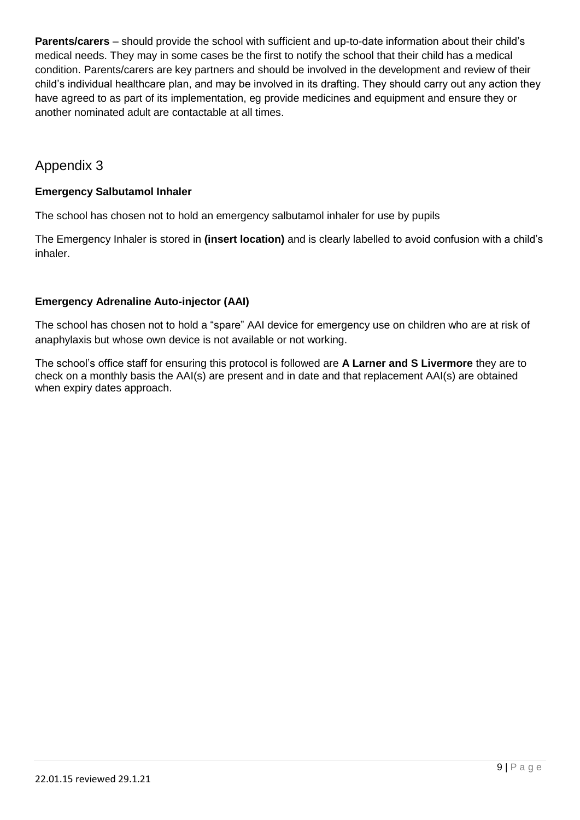**Parents/carers** – should provide the school with sufficient and up-to-date information about their child's medical needs. They may in some cases be the first to notify the school that their child has a medical condition. Parents/carers are key partners and should be involved in the development and review of their child's individual healthcare plan, and may be involved in its drafting. They should carry out any action they have agreed to as part of its implementation, eg provide medicines and equipment and ensure they or another nominated adult are contactable at all times.

## Appendix 3

## **Emergency Salbutamol Inhaler**

The school has chosen not to hold an emergency salbutamol inhaler for use by pupils

The Emergency Inhaler is stored in **(insert location)** and is clearly labelled to avoid confusion with a child's inhaler.

## **Emergency Adrenaline Auto-injector (AAI)**

The school has chosen not to hold a "spare" AAI device for emergency use on children who are at risk of anaphylaxis but whose own device is not available or not working.

The school's office staff for ensuring this protocol is followed are **A Larner and S Livermore** they are to check on a monthly basis the AAI(s) are present and in date and that replacement AAI(s) are obtained when expiry dates approach.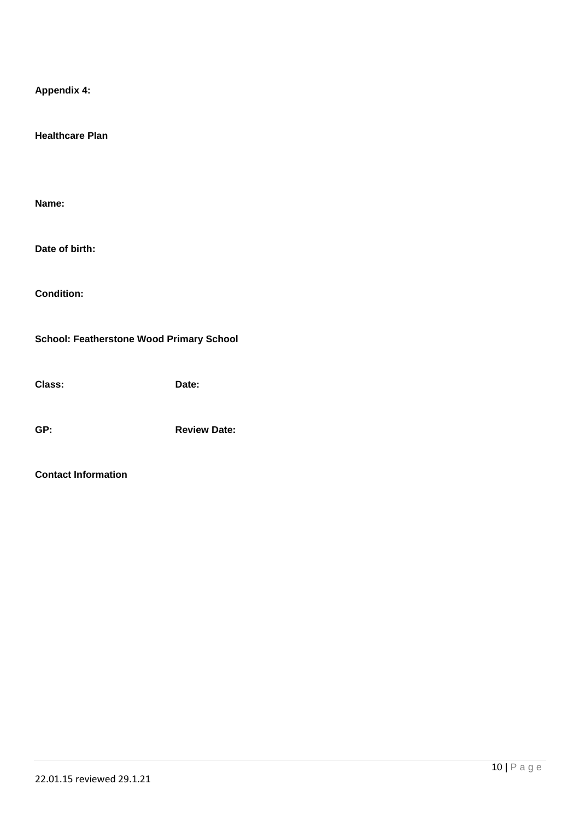| <b>Appendix 4:</b>                              |                     |
|-------------------------------------------------|---------------------|
| <b>Healthcare Plan</b>                          |                     |
|                                                 |                     |
| Name:                                           |                     |
| Date of birth:                                  |                     |
| <b>Condition:</b>                               |                     |
| <b>School: Featherstone Wood Primary School</b> |                     |
| Class:                                          | Date:               |
| GP:                                             | <b>Review Date:</b> |

#### **Contact Information**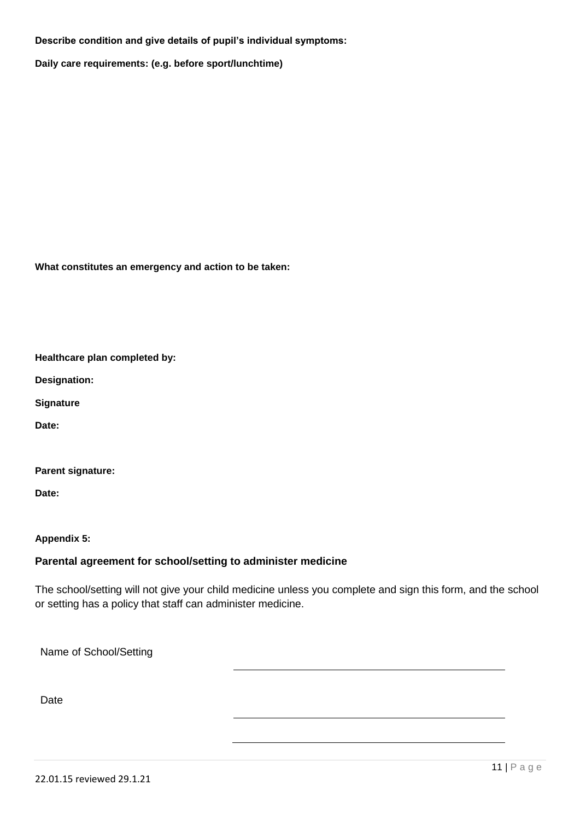#### **Describe condition and give details of pupil's individual symptoms:**

**Daily care requirements: (e.g. before sport/lunchtime)**

**What constitutes an emergency and action to be taken:**

**Healthcare plan completed by:**

**Designation:**

**Signature**

**Date:**

**Parent signature:**

**Date:**

**Appendix 5:**

#### **Parental agreement for school/setting to administer medicine**

The school/setting will not give your child medicine unless you complete and sign this form, and the school or setting has a policy that staff can administer medicine.

Name of School/Setting

**Date**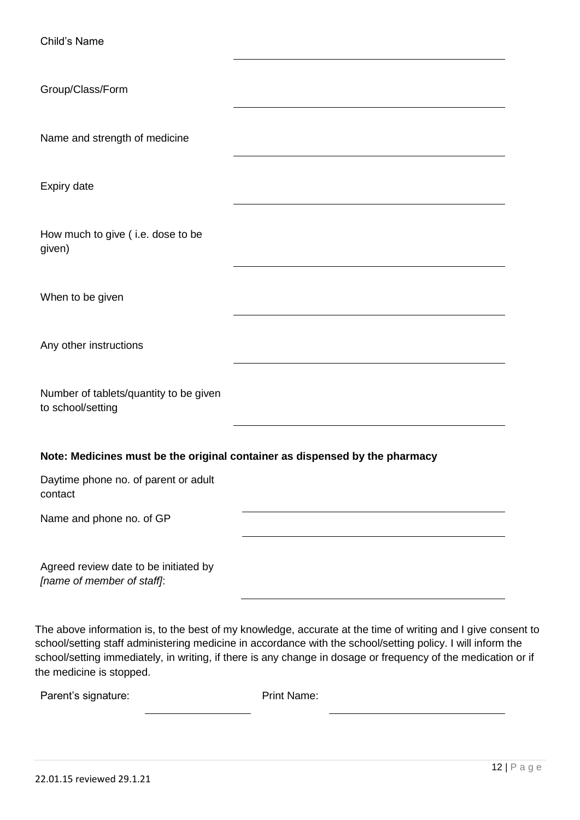| Child's Name                                                        |                                                                                                                                                                                                                                                                                                                                              |
|---------------------------------------------------------------------|----------------------------------------------------------------------------------------------------------------------------------------------------------------------------------------------------------------------------------------------------------------------------------------------------------------------------------------------|
| Group/Class/Form                                                    |                                                                                                                                                                                                                                                                                                                                              |
| Name and strength of medicine                                       |                                                                                                                                                                                                                                                                                                                                              |
| Expiry date                                                         |                                                                                                                                                                                                                                                                                                                                              |
| How much to give (i.e. dose to be<br>given)                         |                                                                                                                                                                                                                                                                                                                                              |
| When to be given                                                    |                                                                                                                                                                                                                                                                                                                                              |
| Any other instructions                                              |                                                                                                                                                                                                                                                                                                                                              |
| Number of tablets/quantity to be given<br>to school/setting         |                                                                                                                                                                                                                                                                                                                                              |
|                                                                     | Note: Medicines must be the original container as dispensed by the pharmacy                                                                                                                                                                                                                                                                  |
| Daytime phone no. of parent or adult<br>contact                     |                                                                                                                                                                                                                                                                                                                                              |
| Name and phone no. of GP                                            |                                                                                                                                                                                                                                                                                                                                              |
| Agreed review date to be initiated by<br>[name of member of staff]: |                                                                                                                                                                                                                                                                                                                                              |
|                                                                     | The above information is, to the best of my knowledge, accurate at the time of writing and I give consent to<br>school/setting staff administering medicine in accordance with the school/setting policy. I will inform the<br>school/setting immediately, in writing, if there is any change in dosage or frequency of the medication or if |

| Parent's signature: | <b>Print Name:</b> |
|---------------------|--------------------|
|---------------------|--------------------|

the medicine is stopped.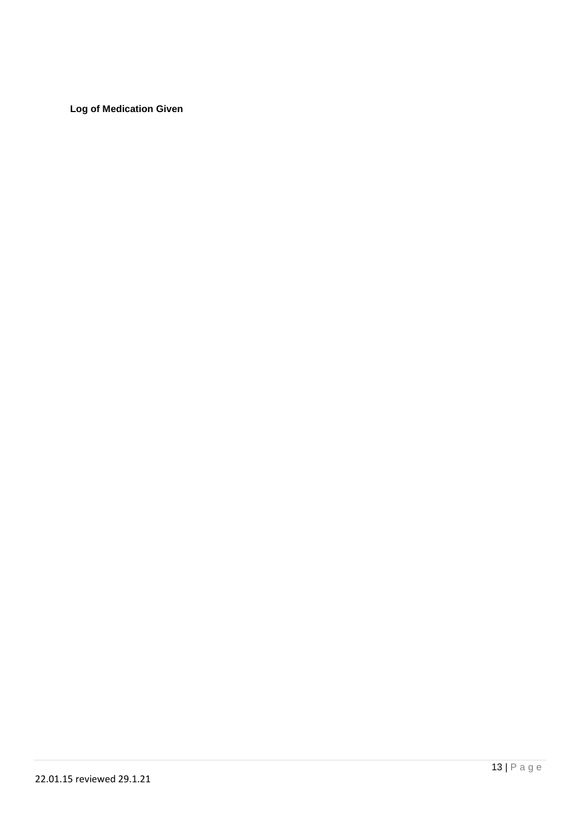**Log of Medication Given**